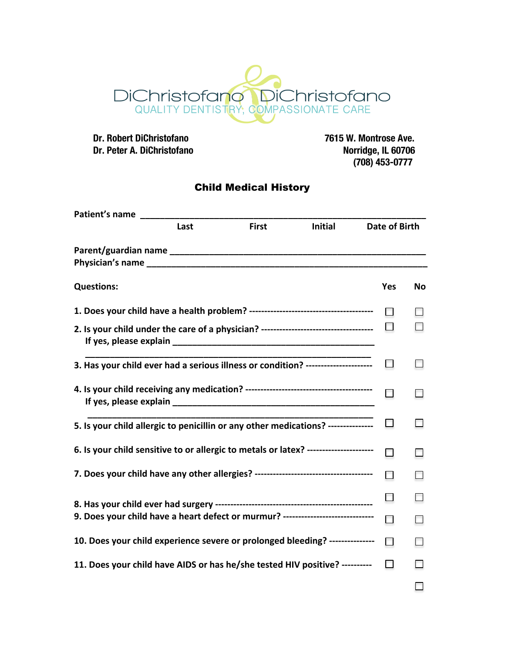

 **Dr. Robert DiChristofano 7615 W. Montrose Ave. Dr. Peter A. DiChristofano** 

 **(708) 453-0777**

## Child Medical History

| Patient's name                                                                     |                                        |  |  |               |        |    |  |  |
|------------------------------------------------------------------------------------|----------------------------------------|--|--|---------------|--------|----|--|--|
|                                                                                    | Last<br><b>First</b><br><b>Initial</b> |  |  | Date of Birth |        |    |  |  |
| Parent/guardian name                                                               |                                        |  |  |               |        |    |  |  |
| <b>Questions:</b>                                                                  |                                        |  |  |               | Yes    | No |  |  |
|                                                                                    |                                        |  |  |               |        |    |  |  |
| 2. Is your child under the care of a physician? ---------------------------------- |                                        |  |  |               |        |    |  |  |
| 3. Has your child ever had a serious illness or condition? ---------------------   |                                        |  |  |               | □      |    |  |  |
|                                                                                    |                                        |  |  |               |        |    |  |  |
| 5. Is your child allergic to penicillin or any other medications? --------------   |                                        |  |  |               |        |    |  |  |
| 6. Is your child sensitive to or allergic to metals or latex? -------------------- |                                        |  |  |               | $\Box$ |    |  |  |
|                                                                                    |                                        |  |  |               |        |    |  |  |
|                                                                                    |                                        |  |  |               |        |    |  |  |
| 9. Does your child have a heart defect or murmur? ------------------------------   |                                        |  |  |               |        |    |  |  |
| 10. Does your child experience severe or prolonged bleeding? ---------------       |                                        |  |  |               |        |    |  |  |
| 11. Does your child have AIDS or has he/she tested HIV positive? ----------        |                                        |  |  |               | $\Box$ |    |  |  |
|                                                                                    |                                        |  |  |               |        |    |  |  |